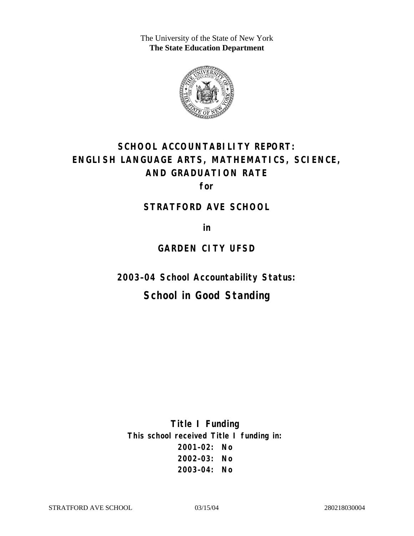The University of the State of New York **The State Education Department** 



# **SCHOOL ACCOUNTABILITY REPORT: ENGLISH LANGUAGE ARTS, MATHEMATICS, SCIENCE, AND GRADUATION RATE**

**for** 

#### **STRATFORD AVE SCHOOL**

**in** 

# **GARDEN CITY UFSD**

**2003–04 School Accountability Status:** 

# **School in Good Standing**

**Title I Funding This school received Title I funding in: 2001–02: No 2002–03: No 2003–04: No**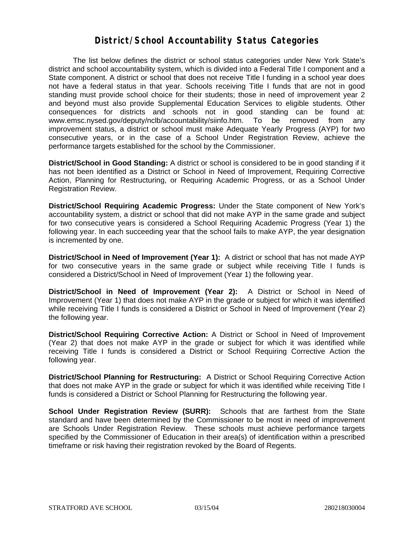#### **District/School Accountability Status Categories**

The list below defines the district or school status categories under New York State's district and school accountability system, which is divided into a Federal Title I component and a State component. A district or school that does not receive Title I funding in a school year does not have a federal status in that year. Schools receiving Title I funds that are not in good standing must provide school choice for their students; those in need of improvement year 2 and beyond must also provide Supplemental Education Services to eligible students. Other consequences for districts and schools not in good standing can be found at: www.emsc.nysed.gov/deputy/nclb/accountability/siinfo.htm. To be removed from any improvement status, a district or school must make Adequate Yearly Progress (AYP) for two consecutive years, or in the case of a School Under Registration Review, achieve the performance targets established for the school by the Commissioner.

**District/School in Good Standing:** A district or school is considered to be in good standing if it has not been identified as a District or School in Need of Improvement, Requiring Corrective Action, Planning for Restructuring, or Requiring Academic Progress, or as a School Under Registration Review.

**District/School Requiring Academic Progress:** Under the State component of New York's accountability system, a district or school that did not make AYP in the same grade and subject for two consecutive years is considered a School Requiring Academic Progress (Year 1) the following year. In each succeeding year that the school fails to make AYP, the year designation is incremented by one.

**District/School in Need of Improvement (Year 1):** A district or school that has not made AYP for two consecutive years in the same grade or subject while receiving Title I funds is considered a District/School in Need of Improvement (Year 1) the following year.

**District/School in Need of Improvement (Year 2):** A District or School in Need of Improvement (Year 1) that does not make AYP in the grade or subject for which it was identified while receiving Title I funds is considered a District or School in Need of Improvement (Year 2) the following year.

**District/School Requiring Corrective Action:** A District or School in Need of Improvement (Year 2) that does not make AYP in the grade or subject for which it was identified while receiving Title I funds is considered a District or School Requiring Corrective Action the following year.

**District/School Planning for Restructuring:** A District or School Requiring Corrective Action that does not make AYP in the grade or subject for which it was identified while receiving Title I funds is considered a District or School Planning for Restructuring the following year.

**School Under Registration Review (SURR):** Schools that are farthest from the State standard and have been determined by the Commissioner to be most in need of improvement are Schools Under Registration Review. These schools must achieve performance targets specified by the Commissioner of Education in their area(s) of identification within a prescribed timeframe or risk having their registration revoked by the Board of Regents.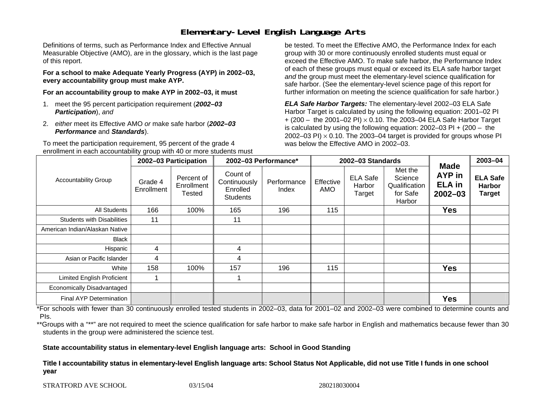# **Elementary-Level English Language Arts**

Definitions of terms, such as Performance Index and Effective Annual Measurable Objective (AMO), are in the glossary, which is the last page of this report.

**For a school to make Adequate Yearly Progress (AYP) in 2002–03, every accountability group must make AYP.** 

**For an accountability group to make AYP in 2002–03, it must** 

- 1. meet the 95 percent participation requirement (*2002–03 Participation*), *and*
- 2. *either* meet its Effective AMO *or* make safe harbor (*2002–03 Performance* and *Standards*).

To meet the participation requirement, 95 percent of the grade 4 enrollment in each accountability group with 40 or more students must

be tested. To meet the Effective AMO, the Performance Index for each group with 30 or more continuously enrolled students must equal or exceed the Effective AMO. To make safe harbor, the Performance Index of each of these groups must equal or exceed its ELA safe harbor target *and* the group must meet the elementary-level science qualification for safe harbor. (See the elementary-level science page of this report for further information on meeting the science qualification for safe harbor.)

*ELA Safe Harbor Targets:* The elementary-level 2002–03 ELA Safe Harbor Target is calculated by using the following equation: 2001–02 PI + (200 – the 2001–02 PI) <sup>×</sup> 0.10. The 2003–04 ELA Safe Harbor Target is calculated by using the following equation: 2002–03 PI + (200 – the 2002–03 PI)  $\times$  0.10. The 2003–04 target is provided for groups whose PI was below the Effective AMO in 2002–03.

| <b>Accountability Group</b>       | 2002-03 Participation |                                    | 2002-03 Performance*                                    |                      | 2002-03 Standards |                                     |                                                           |                                                              | 2003-04                                           |
|-----------------------------------|-----------------------|------------------------------------|---------------------------------------------------------|----------------------|-------------------|-------------------------------------|-----------------------------------------------------------|--------------------------------------------------------------|---------------------------------------------------|
|                                   | Grade 4<br>Enrollment | Percent of<br>Enrollment<br>Tested | Count of<br>Continuously<br>Enrolled<br><b>Students</b> | Performance<br>Index | Effective<br>AMO  | <b>ELA Safe</b><br>Harbor<br>Target | Met the<br>Science<br>Qualification<br>for Safe<br>Harbor | <b>Made</b><br><b>AYP</b> in<br><b>ELA</b> in<br>$2002 - 03$ | <b>ELA Safe</b><br><b>Harbor</b><br><b>Target</b> |
| All Students                      | 166                   | 100%                               | 165                                                     | 196                  | 115               |                                     |                                                           | <b>Yes</b>                                                   |                                                   |
| <b>Students with Disabilities</b> | 11                    |                                    | 11                                                      |                      |                   |                                     |                                                           |                                                              |                                                   |
| American Indian/Alaskan Native    |                       |                                    |                                                         |                      |                   |                                     |                                                           |                                                              |                                                   |
| <b>Black</b>                      |                       |                                    |                                                         |                      |                   |                                     |                                                           |                                                              |                                                   |
| Hispanic                          | 4                     |                                    | 4                                                       |                      |                   |                                     |                                                           |                                                              |                                                   |
| Asian or Pacific Islander         | 4                     |                                    | 4                                                       |                      |                   |                                     |                                                           |                                                              |                                                   |
| White                             | 158                   | 100%                               | 157                                                     | 196                  | 115               |                                     |                                                           | <b>Yes</b>                                                   |                                                   |
| Limited English Proficient        |                       |                                    |                                                         |                      |                   |                                     |                                                           |                                                              |                                                   |
| Economically Disadvantaged        |                       |                                    |                                                         |                      |                   |                                     |                                                           |                                                              |                                                   |
| <b>Final AYP Determination</b>    |                       |                                    |                                                         |                      |                   |                                     |                                                           | <b>Yes</b>                                                   |                                                   |

\*For schools with fewer than 30 continuously enrolled tested students in 2002–03, data for 2001–02 and 2002–03 were combined to determine counts and PIs.

\*\*Groups with a "\*\*" are not required to meet the science qualification for safe harbor to make safe harbor in English and mathematics because fewer than 30 students in the group were administered the science test.

**State accountability status in elementary-level English language arts: School in Good Standing** 

Title I accountability status in elementary-level English language arts: School Status Not Applicable, did not use Title I funds in one school **y e ar**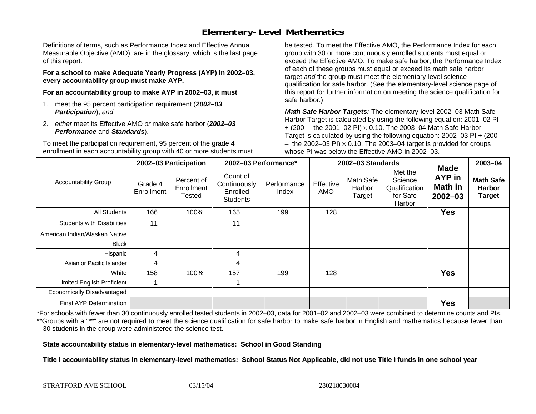# **Elementary-Level Mathematics**

Definitions of terms, such as Performance Index and Effective Annual Measurable Objective (AMO), are in the glossary, which is the last page of this report.

**For a school to make Adequate Yearly Progress (AYP) in 2002–03, every accountability group must make AYP.** 

**For an accountability group to make AYP in 2002–03, it must** 

- 1. meet the 95 percent participation requirement (*2002–03 Participation*), *and*
- 2. *either* meet its Effective AMO *or* make safe harbor (*2002–03 Performance* and *Standards*).

To meet the participation requirement, 95 percent of the grade 4 enrollment in each accountability group with 40 or more students must

be tested. To meet the Effective AMO, the Performance Index for each group with 30 or more continuously enrolled students must equal or exceed the Effective AMO. To make safe harbor, the Performance Index of each of these groups must equal or exceed its math safe harbor target *and* the group must meet the elementary-level science qualification for safe harbor. (See the elementary-level science page of this report for further information on meeting the science qualification for safe harbor.)

*Math Safe Harbor Targets:* The elementary-level 2002–03 Math Safe Harbor Target is calculated by using the following equation: 2001–02 PI + (200 – the 2001–02 PI) × 0.10. The 2003–04 Math Safe Harbor Target is calculated by using the following equation: 2002–03 PI + (200  $-$  the 2002–03 PI)  $\times$  0.10. The 2003–04 target is provided for groups whose PI was below the Effective AMO in 2002–03.

| <b>Accountability Group</b>       | 2002-03 Participation |                                    | 2002-03 Performance*                                    |                      | 2002-03 Standards       |                               |                                                           |                                                        | 2003-04                                            |
|-----------------------------------|-----------------------|------------------------------------|---------------------------------------------------------|----------------------|-------------------------|-------------------------------|-----------------------------------------------------------|--------------------------------------------------------|----------------------------------------------------|
|                                   | Grade 4<br>Enrollment | Percent of<br>Enrollment<br>Tested | Count of<br>Continuously<br>Enrolled<br><b>Students</b> | Performance<br>Index | Effective<br><b>AMO</b> | Math Safe<br>Harbor<br>Target | Met the<br>Science<br>Qualification<br>for Safe<br>Harbor | <b>Made</b><br>AYP in<br><b>Math in</b><br>$2002 - 03$ | <b>Math Safe</b><br><b>Harbor</b><br><b>Target</b> |
| All Students                      | 166                   | 100%                               | 165                                                     | 199                  | 128                     |                               |                                                           | <b>Yes</b>                                             |                                                    |
| <b>Students with Disabilities</b> | 11                    |                                    | 11                                                      |                      |                         |                               |                                                           |                                                        |                                                    |
| American Indian/Alaskan Native    |                       |                                    |                                                         |                      |                         |                               |                                                           |                                                        |                                                    |
| <b>Black</b>                      |                       |                                    |                                                         |                      |                         |                               |                                                           |                                                        |                                                    |
| Hispanic                          | 4                     |                                    | 4                                                       |                      |                         |                               |                                                           |                                                        |                                                    |
| Asian or Pacific Islander         | 4                     |                                    | 4                                                       |                      |                         |                               |                                                           |                                                        |                                                    |
| White                             | 158                   | 100%                               | 157                                                     | 199                  | 128                     |                               |                                                           | <b>Yes</b>                                             |                                                    |
| <b>Limited English Proficient</b> |                       |                                    |                                                         |                      |                         |                               |                                                           |                                                        |                                                    |
| Economically Disadvantaged        |                       |                                    |                                                         |                      |                         |                               |                                                           |                                                        |                                                    |
| <b>Final AYP Determination</b>    |                       |                                    |                                                         |                      |                         |                               |                                                           | <b>Yes</b>                                             |                                                    |

\*For schools with fewer than 30 continuously enrolled tested students in 2002–03, data for 2001–02 and 2002–03 were combined to determine counts and PIs. \*\*Groups with a "\*\*" are not required to meet the science qualification for safe harbor to make safe harbor in English and mathematics because fewer than 30 students in the group were administered the science test.

**State accountability status in elementary-level mathematics: School in Good Standing** 

Title I accountability status in elementary-level mathematics: School Status Not Applicable, did not use Title I funds in one school year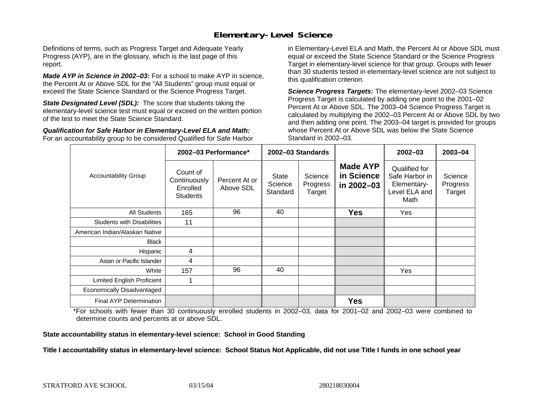### **Elementary-Level Science**

Definitions of terms, such as Progress Target and Adequate Yearly Progress (AYP), are in the glossary, which is the last page of this report.

*Made AYP in Science in 2002–03:* For a school to make AYP in science, the Percent At or Above SDL for the "All Students" group must equal or exceed the State Science Standard or the Science Progress Target.

**State Designated Level (SDL):** The score that students taking the elementary-level science test must equal or exceed on the written portion of the test to meet the State Science Standard.

*Qualification for Safe Harbor in Elementary-Level ELA and Math:* For an accountability group to be considered Qualified for Safe Harbor in Elementary-Level ELA and Math, the Percent At or Above SDL must equal or exceed the State Science Standard or the Science Progress Target in elementary-level science for that group. Groups with fewer than 30 students tested in elementary-level science are not subject to this qualification criterion.

*Science Progress Targets:* The elementary-level 2002–03 Science Progress Target is calculated by adding one point to the 2001–02 Percent At or Above SDL. The 2003–04 Science Progress Target is calculated by multiplying the 2002–03 Percent At or Above SDL by two and then adding one point. The 2003–04 target is provided for groups whose Percent At or Above SDL was below the State Science Standard in 2002–03.

|                                   | 2002-03 Performance*                                    |                            | 2002-03 Standards                   |                               |                                             | $2002 - 03$                                                             | $2003 - 04$                   |
|-----------------------------------|---------------------------------------------------------|----------------------------|-------------------------------------|-------------------------------|---------------------------------------------|-------------------------------------------------------------------------|-------------------------------|
| <b>Accountability Group</b>       | Count of<br>Continuously<br>Enrolled<br><b>Students</b> | Percent At or<br>Above SDL | <b>State</b><br>Science<br>Standard | Science<br>Progress<br>Target | <b>Made AYP</b><br>in Science<br>in 2002-03 | Qualified for<br>Safe Harbor in<br>Elementary-<br>Level ELA and<br>Math | Science<br>Progress<br>Target |
| All Students                      | 165                                                     | 96                         | 40                                  |                               | <b>Yes</b>                                  | Yes                                                                     |                               |
| <b>Students with Disabilities</b> | 11                                                      |                            |                                     |                               |                                             |                                                                         |                               |
| American Indian/Alaskan Native    |                                                         |                            |                                     |                               |                                             |                                                                         |                               |
| <b>Black</b>                      |                                                         |                            |                                     |                               |                                             |                                                                         |                               |
| Hispanic                          | 4                                                       |                            |                                     |                               |                                             |                                                                         |                               |
| Asian or Pacific Islander         | 4                                                       |                            |                                     |                               |                                             |                                                                         |                               |
| White                             | 157                                                     | 96                         | 40                                  |                               |                                             | <b>Yes</b>                                                              |                               |
| Limited English Proficient        |                                                         |                            |                                     |                               |                                             |                                                                         |                               |
| Economically Disadvantaged        |                                                         |                            |                                     |                               |                                             |                                                                         |                               |
| <b>Final AYP Determination</b>    |                                                         |                            |                                     |                               | <b>Yes</b>                                  |                                                                         |                               |

\*For schools with fewer than 30 continuously enrolled students in 2002–03, data for 2001–02 and 2002–03 were combined to determine counts and percents at or above SDL.

#### **State accountability status in elementary-level science: School in Good Standing**

#### Title I accountability status in elementary-level science: School Status Not Applicable, did not use Title I funds in one school year